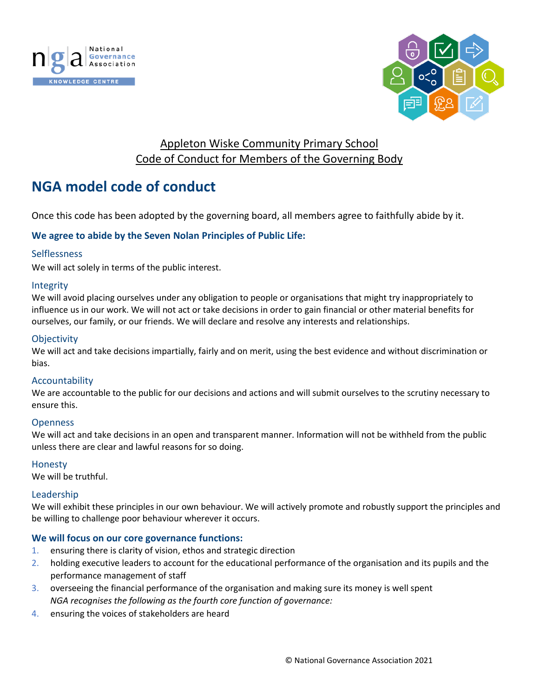



## Appleton Wiske Community Primary School Code of Conduct for Members of the Governing Body

# **NGA model code of conduct**

Once this code has been adopted by the governing board, all members agree to faithfully abide by it.

#### **We agree to abide by the Seven Nolan Principles of Public Life:**

#### Selflessness

We will act solely in terms of the public interest.

#### Integrity

We will avoid placing ourselves under any obligation to people or organisations that might try inappropriately to influence us in our work. We will not act or take decisions in order to gain financial or other material benefits for ourselves, our family, or our friends. We will declare and resolve any interests and relationships.

#### **Objectivity**

We will act and take decisions impartially, fairly and on merit, using the best evidence and without discrimination or bias.

#### Accountability

We are accountable to the public for our decisions and actions and will submit ourselves to the scrutiny necessary to ensure this.

#### **Openness**

We will act and take decisions in an open and transparent manner. Information will not be withheld from the public unless there are clear and lawful reasons for so doing.

#### Honesty

We will be truthful.

#### Leadership

We will exhibit these principles in our own behaviour. We will actively promote and robustly support the principles and be willing to challenge poor behaviour wherever it occurs.

#### **We will focus on our core governance functions:**

- 1. ensuring there is clarity of vision, ethos and strategic direction
- 2. holding executive leaders to account for the educational performance of the organisation and its pupils and the performance management of staff
- 3. overseeing the financial performance of the organisation and making sure its money is well spent *NGA recognises the following as the fourth core function of governance:*
- 4. ensuring the voices of stakeholders are heard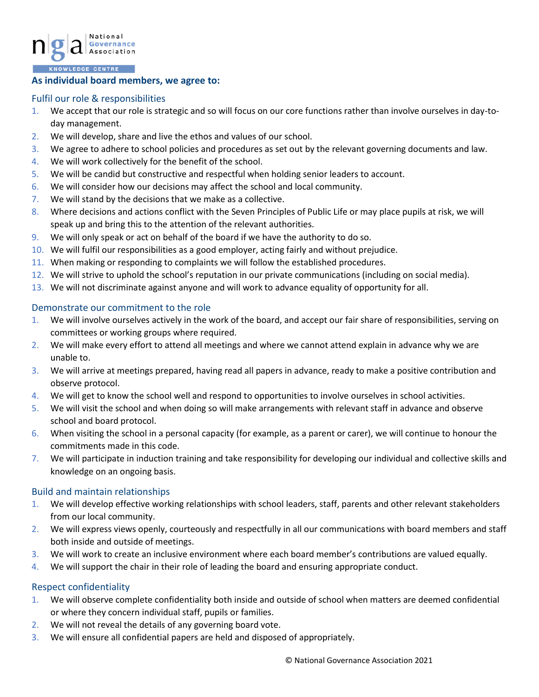

#### **As individual board members, we agree to:**

#### Fulfil our role & responsibilities

- 1. We accept that our role is strategic and so will focus on our core functions rather than involve ourselves in day-today management.
- 2. We will develop, share and live the ethos and values of our school.
- 3. We agree to adhere to school policies and procedures as set out by the relevant governing documents and law.
- 4. We will work collectively for the benefit of the school.
- 5. We will be candid but constructive and respectful when holding senior leaders to account.
- 6. We will consider how our decisions may affect the school and local community.
- 7. We will stand by the decisions that we make as a collective.
- 8. Where decisions and actions conflict with the Seven Principles of Public Life or may place pupils at risk, we will speak up and bring this to the attention of the relevant authorities.
- 9. We will only speak or act on behalf of the board if we have the authority to do so.
- 10. We will fulfil our responsibilities as a good employer, acting fairly and without prejudice.
- 11. When making or responding to complaints we will follow the established procedures.
- 12. We will strive to uphold the school's reputation in our private communications (including on social media).
- 13. We will not discriminate against anyone and will work to advance equality of opportunity for all.

#### Demonstrate our commitment to the role

- 1. We will involve ourselves actively in the work of the board, and accept our fair share of responsibilities, serving on committees or working groups where required.
- 2. We will make every effort to attend all meetings and where we cannot attend explain in advance why we are unable to.
- 3. We will arrive at meetings prepared, having read all papers in advance, ready to make a positive contribution and observe protocol.
- 4. We will get to know the school well and respond to opportunities to involve ourselves in school activities.
- 5. We will visit the school and when doing so will make arrangements with relevant staff in advance and observe school and board protocol.
- 6. When visiting the school in a personal capacity (for example, as a parent or carer), we will continue to honour the commitments made in this code.
- 7. We will participate in induction training and take responsibility for developing our individual and collective skills and knowledge on an ongoing basis.

#### Build and maintain relationships

- 1. We will develop effective working relationships with school leaders, staff, parents and other relevant stakeholders from our local community.
- 2. We will express views openly, courteously and respectfully in all our communications with board members and staff both inside and outside of meetings.
- 3. We will work to create an inclusive environment where each board member's contributions are valued equally.
- 4. We will support the chair in their role of leading the board and ensuring appropriate conduct.

#### Respect confidentiality

- 1. We will observe complete confidentiality both inside and outside of school when matters are deemed confidential or where they concern individual staff, pupils or families.
- 2. We will not reveal the details of any governing board vote.
- 3. We will ensure all confidential papers are held and disposed of appropriately.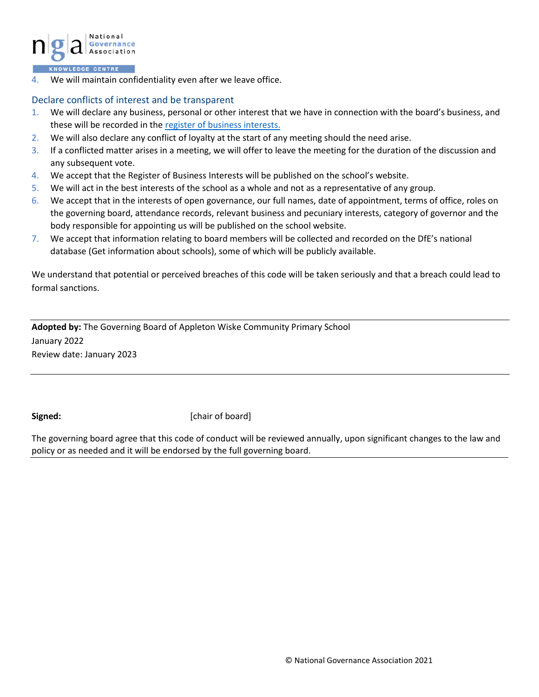

4. We will maintain confidentiality even after we leave office.

#### Declare conflicts of interest and be transparent

- 1. We will declare any business, personal or other interest that we have in connection with the board's business, and these will be recorded in th[e register of business interests.](https://www.nga.org.uk/Knowledge-Centre/Compliance/Policies-and-procedures/Declaration-and-register-of-interests-forms.aspx)
- 2. We will also declare any conflict of loyalty at the start of any meeting should the need arise.
- 3. If a conflicted matter arises in a meeting, we will offer to leave the meeting for the duration of the discussion and any subsequent vote.
- 4. We accept that the Register of Business Interests will be published on the school's website.
- 5. We will act in the best interests of the school as a whole and not as a representative of any group.
- 6. We accept that in the interests of open governance, our full names, date of appointment, terms of office, roles on the governing board, attendance records, relevant business and pecuniary interests, category of governor and the body responsible for appointing us will be published on the school website.
- 7. We accept that information relating to board members will be collected and recorded on the DfE's national database (Get information about schools), some of which will be publicly available.

We understand that potential or perceived breaches of this code will be taken seriously and that a breach could lead to formal sanctions.

**Adopted by:** The Governing Board of Appleton Wiske Community Primary School January 2022 Review date: January 2023

**Signed: Chair of board** [chair of board]

The governing board agree that this code of conduct will be reviewed annually, upon significant changes to the law and policy or as needed and it will be endorsed by the full governing board.